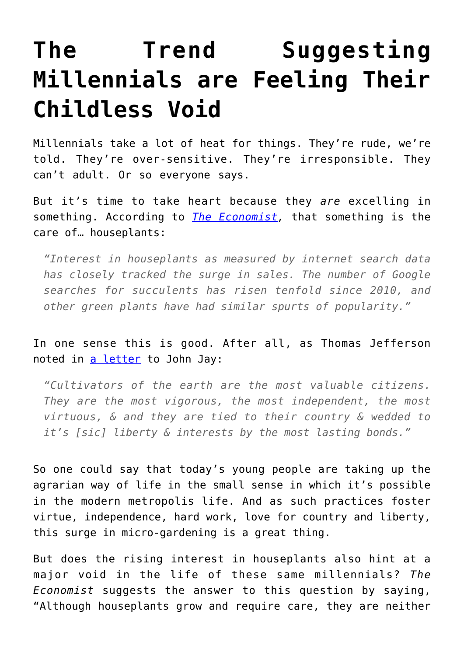## **[The Trend Suggesting](https://intellectualtakeout.org/2018/08/the-trend-suggesting-millennials-are-feeling-their-childless-void/) [Millennials are Feeling Their](https://intellectualtakeout.org/2018/08/the-trend-suggesting-millennials-are-feeling-their-childless-void/) [Childless Void](https://intellectualtakeout.org/2018/08/the-trend-suggesting-millennials-are-feeling-their-childless-void/)**

Millennials take a lot of heat for things. They're rude, we're told. They're over-sensitive. They're irresponsible. They can't adult. Or so everyone says.

But it's time to take heart because they *are* excelling in something. According to *[The Economist,](https://www.economist.com/graphic-detail/2018/08/06/instead-of-houses-young-people-have-houseplants?fsrc=rss)* that something is the care of… houseplants:

*"Interest in houseplants as measured by internet search data has closely tracked the surge in sales. The number of Google searches for succulents has risen tenfold since 2010, and other green plants have had similar spurts of popularity."*

In one sense this is good. After all, as Thomas Jefferson noted in [a letter](http://avalon.law.yale.edu/18th_century/let32.asp) to John Jay:

*"Cultivators of the earth are the most valuable citizens. They are the most vigorous, the most independent, the most virtuous, & and they are tied to their country & wedded to it's [sic] liberty & interests by the most lasting bonds."*

So one could say that today's young people are taking up the agrarian way of life in the small sense in which it's possible in the modern metropolis life. And as such practices foster virtue, independence, hard work, love for country and liberty, this surge in micro-gardening is a great thing.

But does the rising interest in houseplants also hint at a major void in the life of these same millennials? *The Economist* suggests the answer to this question by saying, "Although houseplants grow and require care, they are neither